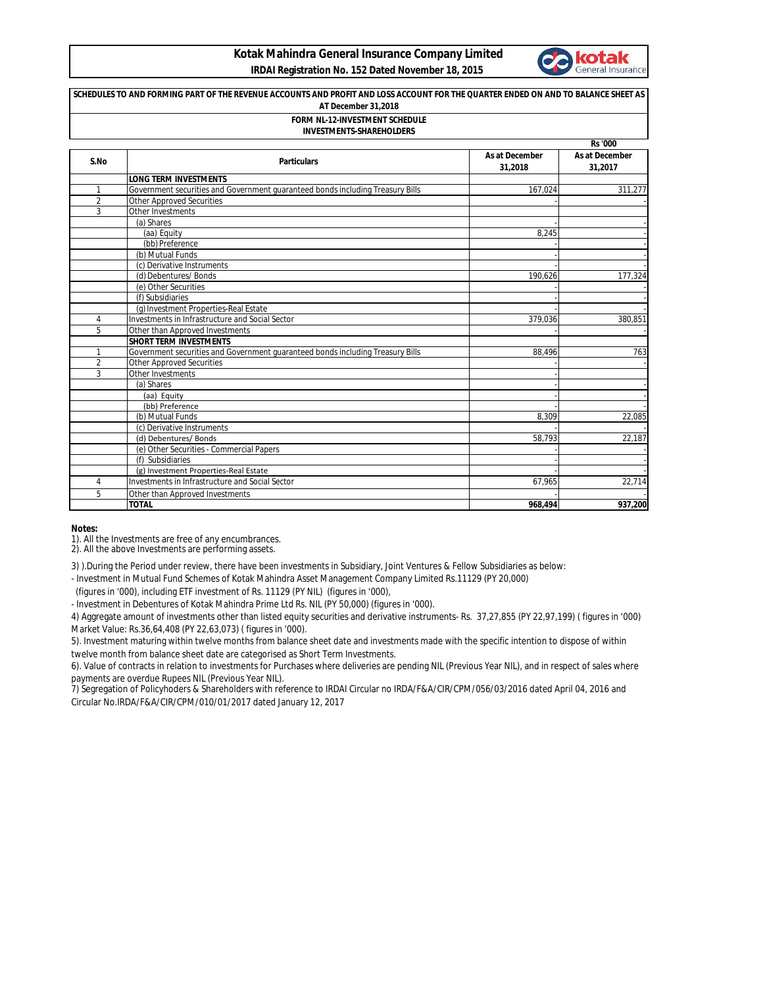## **Kotak Mahindra General Insurance Company Limited IRDAI Registration No. 152 Dated November 18, 2015**



| SCHEDULES TO AND FORMING PART OF THE REVENUE ACCOUNTS AND PROFIT AND LOSS ACCOUNT FOR THE QUARTER ENDED ON AND TO BALANCE SHEET AS<br>AT December 31.2018<br><b>FORM NL-12-INVESTMENT SCHEDULE</b><br><b>INVESTMENTS-SHAREHOLDERS</b> |                                                                                                                    |                           |                           |  |
|---------------------------------------------------------------------------------------------------------------------------------------------------------------------------------------------------------------------------------------|--------------------------------------------------------------------------------------------------------------------|---------------------------|---------------------------|--|
|                                                                                                                                                                                                                                       |                                                                                                                    |                           |                           |  |
| S.No                                                                                                                                                                                                                                  | <b>Particulars</b>                                                                                                 | As at December<br>31,2018 | As at December<br>31,2017 |  |
|                                                                                                                                                                                                                                       | <b>LONG TERM INVESTMENTS</b>                                                                                       |                           |                           |  |
| 1                                                                                                                                                                                                                                     | Government securities and Government quaranteed bonds including Treasury Bills                                     | 167,024                   | 311,277                   |  |
| 2                                                                                                                                                                                                                                     | <b>Other Approved Securities</b>                                                                                   |                           |                           |  |
| 3                                                                                                                                                                                                                                     | Other Investments                                                                                                  |                           |                           |  |
|                                                                                                                                                                                                                                       | (a) Shares                                                                                                         |                           |                           |  |
|                                                                                                                                                                                                                                       | (aa) Equity                                                                                                        | 8.245                     |                           |  |
|                                                                                                                                                                                                                                       | (bb) Preference                                                                                                    |                           |                           |  |
|                                                                                                                                                                                                                                       | (b) Mutual Funds                                                                                                   |                           |                           |  |
|                                                                                                                                                                                                                                       | (c) Derivative Instruments                                                                                         |                           |                           |  |
|                                                                                                                                                                                                                                       | (d) Debentures/ Bonds                                                                                              | 190,626                   | 177,324                   |  |
|                                                                                                                                                                                                                                       | (e) Other Securities                                                                                               |                           |                           |  |
|                                                                                                                                                                                                                                       | (f) Subsidiaries                                                                                                   |                           |                           |  |
|                                                                                                                                                                                                                                       | (g) Investment Properties-Real Estate                                                                              |                           |                           |  |
| 4                                                                                                                                                                                                                                     | Investments in Infrastructure and Social Sector                                                                    | 379,036                   | 380,851                   |  |
| 5                                                                                                                                                                                                                                     | Other than Approved Investments                                                                                    |                           |                           |  |
|                                                                                                                                                                                                                                       | <b>SHORT TERM INVESTMENTS</b>                                                                                      |                           | 763                       |  |
| 1<br>$\overline{2}$                                                                                                                                                                                                                   | Government securities and Government guaranteed bonds including Treasury Bills<br><b>Other Approved Securities</b> | 88,496                    |                           |  |
| 3                                                                                                                                                                                                                                     | Other Investments                                                                                                  |                           |                           |  |
|                                                                                                                                                                                                                                       | (a) Shares                                                                                                         |                           |                           |  |
|                                                                                                                                                                                                                                       | (aa) Equity                                                                                                        |                           |                           |  |
|                                                                                                                                                                                                                                       | (bb) Preference                                                                                                    |                           |                           |  |
|                                                                                                                                                                                                                                       | (b) Mutual Funds                                                                                                   | 8,309                     | 22,085                    |  |
|                                                                                                                                                                                                                                       | (c) Derivative Instruments                                                                                         |                           |                           |  |
|                                                                                                                                                                                                                                       | (d) Debentures/ Bonds                                                                                              | 58,793                    | 22,187                    |  |
|                                                                                                                                                                                                                                       | (e) Other Securities - Commercial Papers                                                                           |                           |                           |  |
|                                                                                                                                                                                                                                       | (f) Subsidiaries                                                                                                   |                           |                           |  |
|                                                                                                                                                                                                                                       | (g) Investment Properties-Real Estate                                                                              |                           |                           |  |
| 4                                                                                                                                                                                                                                     | Investments in Infrastructure and Social Sector                                                                    | 67,965                    | 22,714                    |  |
| 5                                                                                                                                                                                                                                     | Other than Approved Investments                                                                                    |                           |                           |  |
|                                                                                                                                                                                                                                       | <b>TOTAL</b>                                                                                                       | 968,494                   | 937,200                   |  |

**Notes:**

1). All the Investments are free of any encumbrances.

2). All the above Investments are performing assets.

3) ).During the Period under review, there have been investments in Subsidiary, Joint Ventures & Fellow Subsidiaries as below:

- Investment in Mutual Fund Schemes of Kotak Mahindra Asset Management Company Limited Rs.11129 (PY 20,000)

(figures in '000), including ETF investment of Rs. 11129 (PY NIL) (figures in '000),

- Investment in Debentures of Kotak Mahindra Prime Ltd Rs. NIL (PY 50,000) (figures in '000).

4) Aggregate amount of investments other than listed equity securities and derivative instruments- Rs. 37,27,855 (PY 22,97,199) ( figures in '000) Market Value: Rs.36,64,408 (PY 22,63,073) ( figures in '000).

5). Investment maturing within twelve months from balance sheet date and investments made with the specific intention to dispose of within twelve month from balance sheet date are categorised as Short Term Investments.

6). Value of contracts in relation to investments for Purchases where deliveries are pending NIL (Previous Year NIL), and in respect of sales where payments are overdue Rupees NIL (Previous Year NIL).

7) Segregation of Policyhoders & Shareholders with reference to IRDAI Circular no IRDA/F&A/CIR/CPM/056/03/2016 dated April 04, 2016 and Circular No.IRDA/F&A/CIR/CPM/010/01/2017 dated January 12, 2017